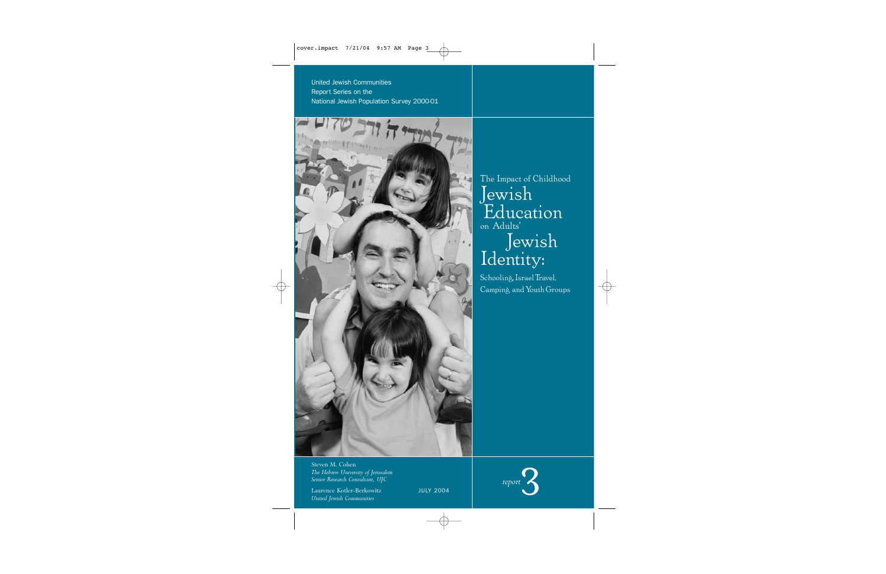United Jewish Communities Report Series on the National Jewish Population Survey 2000-01



The Impact of Childhood Jewish Education on Adults' Jewish Identity:

Schooling, Israel Travel, Camping and Youth Groups

Steven M. Cohen *The Hebrew University of Jerusalem Senior Research Consultant, UJC*

Laurence Kotler-Berkowitz *United Jewish Communities*



JULY 2004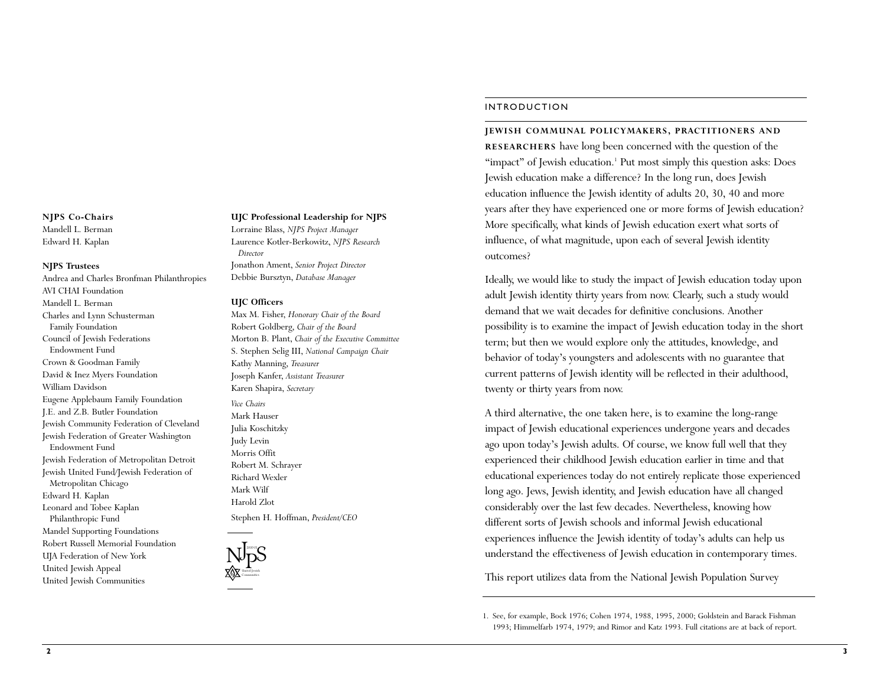#### **NJPS Co-Chairs**

Mandell L. Berman Edward H. Kaplan

#### **NJPS Trustees**

Andrea and Charles Bronfman Philanthropies AVI CHAI Foundation Mandell L. Berman Charles and Lynn Schusterman Family Foundation Council of Jewish Federations Endowment Fund Crown & Goodman Family David & Inez Myers Foundation William Davidson Eugene Applebaum Family Foundation J.E. and Z.B. Butler Foundation Jewish Community Federation of Cleveland Jewish Federation of Greater Washington Endowment Fund Jewish Federation of Metropolitan Detroit Jewish United Fund/Jewish Federation of Metropolitan Chicago Edward H. Kaplan Leonard and Tobee Kaplan Philanthropic Fund Mandel Supporting Foundations Robert Russell Memorial Foundation UJA Federation of New York United Jewish Appeal United Jewish Communities

#### **UJC Professional Leadership for NJPS**

Lorraine Blass, *NJPS Project Manager* Laurence Kotler-Berkowitz, *NJPS Research Director*

Jonathon Ament, *Senior Project Director* Debbie Bursztyn, *Database Manager*

#### **UJC Officers**

Max M. Fisher, *Honorary Chair of the Board* Robert Goldberg, *Chair of the Board* Morton B. Plant, *Chair of the Executive Committee* S. Stephen Selig III, *National Campaign Chair* Kathy Manning, *Treasurer* Joseph Kanfer, *Assistant Treasurer* Karen Shapira, *Secretary Vice Chairs* Mark Hauser Julia Koschitzky Judy Levin

Morris Offit Robert M. Schrayer Richard Wexler Mark Wilf Harold Zlot

Stephen H. Hoffman, *President/CEO*



#### INTRODUCTION

# **JEWISH COMMUNAL POLICYMAKERS, PRACTITIONERS AND**

**RESEARCHERS** have long been concerned with the question of the "impact" of Jewish education.<sup>1</sup> Put most simply this question asks: Does Jewish education make a difference? In the long run, does Jewish education influence the Jewish identity of adults 20, 30, 40 and more years after they have experienced one or more forms of Jewish education? More specifically, what kinds of Jewish education exert what sorts of influence, of what magnitude, upon each of several Jewish identity outcomes?

Ideally, we would like to study the impact of Jewish education today upon adult Jewish identity thirty years from now. Clearly, such a study would demand that we wait decades for definitive conclusions. Another possibility is to examine the impact of Jewish education today in the short term; but then we would explore only the attitudes, knowledge, and behavior of today's youngsters and adolescents with no guarantee that current patterns of Jewish identity will be reflected in their adulthood, twenty or thirty years from now.

A third alternative, the one taken here, is to examine the long-range impact of Jewish educational experiences undergone years and decades ago upon today's Jewish adults. Of course, we know full well that they experienced their childhood Jewish education earlier in time and that educational experiences today do not entirely replicate those experienced long ago. Jews, Jewish identity, and Jewish education have all changed considerably over the last few decades. Nevertheless, knowing how different sorts of Jewish schools and informal Jewish educational experiences influence the Jewish identity of today's adults can help us understand the effectiveness of Jewish education in contemporary times.

This report utilizes data from the National Jewish Population Survey

1. See, for example, Bock 1976; Cohen 1974, 1988, 1995, 2000; Goldstein and Barack Fishman 1993; Himmelfarb 1974, 1979; and Rimor and Katz 1993. Full citations are at back of report.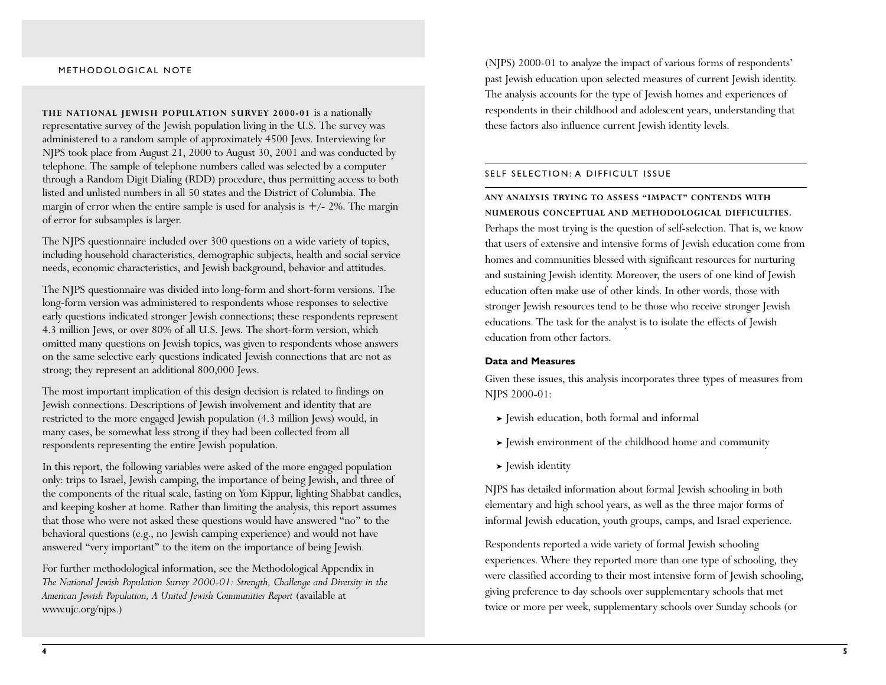**THE NATIONAL JEWISH POPULATION SURVEY 2000-01** is a nationally representative survey of the Jewish population living in the U.S. The survey was administered to a random sample of approximately 4500 Jews. Interviewing for NJPS took place from August 21, 2000 to August 30, 2001 and was conducted by telephone. The sample of telephone numbers called was selected by a computer through a Random Digit Dialing (RDD) procedure, thus permitting access to both listed and unlisted numbers in all 50 states and the District of Columbia. The margin of error when the entire sample is used for analysis is  $+/- 2\%$ . The margin of error for subsamples is larger.

The NJPS questionnaire included over 300 questions on a wide variety of topics, including household characteristics, demographic subjects, health and social service needs, economic characteristics, and Jewish background, behavior and attitudes.

The NJPS questionnaire was divided into long-form and short-form versions. The long-form version was administered to respondents whose responses to selective early questions indicated stronger Jewish connections; these respondents represent 4.3 million Jews, or over 80% of all U.S. Jews. The short-form version, which omitted many questions on Jewish topics, was given to respondents whose answers on the same selective early questions indicated Jewish connections that are not as strong; they represent an additional 800,000 Jews.

The most important implication of this design decision is related to findings on Jewish connections. Descriptions of Jewish involvement and identity that are restricted to the more engaged Jewish population (4.3 million Jews) would, in many cases, be somewhat less strong if they had been collected from all respondents representing the entire Jewish population.

In this report, the following variables were asked of the more engaged population only: trips to Israel, Jewish camping, the importance of being Jewish, and three of the components of the ritual scale, fasting on Yom Kippur, lighting Shabbat candles, and keeping kosher at home. Rather than limiting the analysis, this report assumes that those who were not asked these questions would have answered "no" to the behavioral questions (e.g., no Jewish camping experience) and would not have answered "very important" to the item on the importance of being Jewish.

For further methodological information, see the Methodological Appendix in *The National Jewish Population Survey 2000-01: Strength, Challenge and Diversity in the American Jewish Population, A United Jewish Communities Report* (available at www.ujc.org/njps.)

METHODOLOGICAL NOTE (NJPS) 2000-01 to analyze the impact of various forms of respondents' past Jewish education upon selected measures of current Jewish identity. The analysis accounts for the type of Jewish homes and experiences of respondents in their childhood and adolescent years, understanding that these factors also influence current Jewish identity levels.

#### SELF SELECTION: A DIFFICULT ISSUE

**ANY ANALYSIS TRYING TO ASSESS "IMPACT" CONTENDS WITH NUMEROUS CONCEPTUAL AND METHODOLOGICAL DIFFICULTIES.** Perhaps the most trying is the question of self-selection. That is, we know that users of extensive and intensive forms of Jewish education come from homes and communities blessed with significant resources for nurturing and sustaining Jewish identity. Moreover, the users of one kind of Jewish education often make use of other kinds. In other words, those with stronger Jewish resources tend to be those who receive stronger Jewish educations. The task for the analyst is to isolate the effects of Jewish education from other factors.

## **Data and Measures**

Given these issues, this analysis incorporates three types of measures from NJPS 2000-01:

- ➤ Jewish education, both formal and informal
- ➤ Jewish environment of the childhood home and community
- ➤ Jewish identity

NJPS has detailed information about formal Jewish schooling in both elementary and high school years, as well as the three major forms of informal Jewish education, youth groups, camps, and Israel experience.

Respondents reported a wide variety of formal Jewish schooling experiences. Where they reported more than one type of schooling, they were classified according to their most intensive form of Jewish schooling, giving preference to day schools over supplementary schools that met twice or more per week, supplementary schools over Sunday schools (or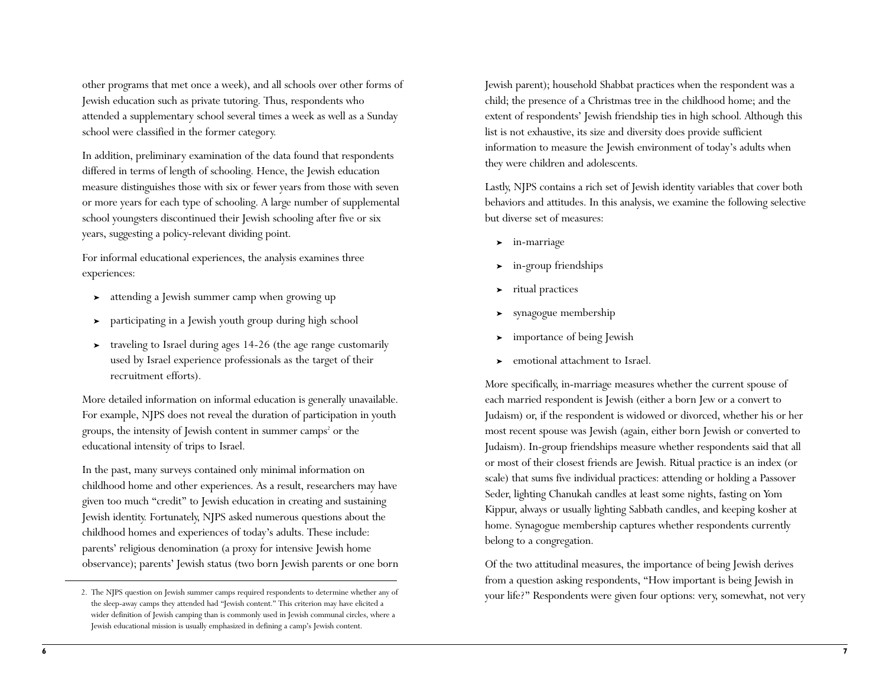other programs that met once a week), and all schools over other forms of Jewish education such as private tutoring. Thus, respondents who attended a supplementary school several times a week as well as a Sunday school were classified in the former category.

In addition, preliminary examination of the data found that respondents differed in terms of length of schooling. Hence, the Jewish education measure distinguishes those with six or fewer years from those with seven or more years for each type of schooling. A large number of supplemental school youngsters discontinued their Jewish schooling after five or six years, suggesting a policy-relevant dividing point.

For informal educational experiences, the analysis examines three experiences:

- ➤ attending a Jewish summer camp when growing up
- participating in a Jewish youth group during high school
- ➤ traveling to Israel during ages 14-26 (the age range customarily used by Israel experience professionals as the target of their recruitment efforts).

More detailed information on informal education is generally unavailable. For example, NJPS does not reveal the duration of participation in youth groups, the intensity of Jewish content in summer camps<sup>2</sup> or the educational intensity of trips to Israel.

In the past, many surveys contained only minimal information on childhood home and other experiences. As a result, researchers may have given too much "credit" to Jewish education in creating and sustaining Jewish identity. Fortunately, NJPS asked numerous questions about the childhood homes and experiences of today's adults. These include: parents' religious denomination (a proxy for intensive Jewish home observance); parents' Jewish status (two born Jewish parents or one born Jewish parent); household Shabbat practices when the respondent was a child; the presence of a Christmas tree in the childhood home; and the extent of respondents' Jewish friendship ties in high school. Although this list is not exhaustive, its size and diversity does provide sufficient information to measure the Jewish environment of today's adults when they were children and adolescents.

Lastly, NJPS contains a rich set of Jewish identity variables that cover both behaviors and attitudes. In this analysis, we examine the following selective but diverse set of measures:

- ➤ in-marriage
- ➤ in-group friendships
- ➤ ritual practices
- ➤ synagogue membership
- ➤ importance of being Jewish
- ➤ emotional attachment to Israel.

More specifically, in-marriage measures whether the current spouse of each married respondent is Jewish (either a born Jew or a convert to Judaism) or, if the respondent is widowed or divorced, whether his or her most recent spouse was Jewish (again, either born Jewish or converted to Judaism). In-group friendships measure whether respondents said that all or most of their closest friends are Jewish. Ritual practice is an index (or scale) that sums five individual practices: attending or holding a Passover Seder, lighting Chanukah candles at least some nights, fasting on Yom Kippur, always or usually lighting Sabbath candles, and keeping kosher at home. Synagogue membership captures whether respondents currently belong to a congregation.

Of the two attitudinal measures, the importance of being Jewish derives from a question asking respondents, "How important is being Jewish in your life?" Respondents were given four options: very, somewhat, not very

<sup>2.</sup> The NJPS question on Jewish summer camps required respondents to determine whether any of the sleep-away camps they attended had "Jewish content." This criterion may have elicited a wider definition of Jewish camping than is commonly used in Jewish communal circles, where a Jewish educational mission is usually emphasized in defining a camp's Jewish content.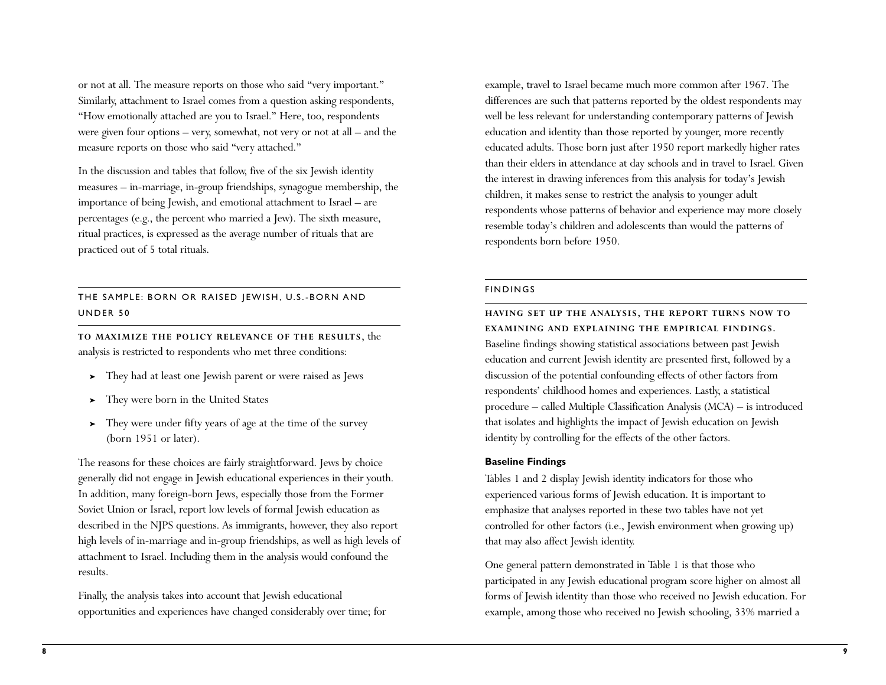or not at all. The measure reports on those who said "very important." Similarly, attachment to Israel comes from a question asking respondents, "How emotionally attached are you to Israel." Here, too, respondents were given four options – very, somewhat, not very or not at all – and the measure reports on those who said "very attached."

In the discussion and tables that follow, five of the six Jewish identity measures – in-marriage, in-group friendships, synagogue membership, the importance of being Jewish, and emotional attachment to Israel – are percentages (e.g., the percent who married a Jew). The sixth measure, ritual practices, is expressed as the average number of rituals that are practiced out of 5 total rituals.

# THE SAMPLE: BORN OR RAISED JEWISH, U.S.-BORN AND UNDER 50

**TO MAXIMIZE THE POLICY RELEVANCE OF THE RESULTS**, the analysis is restricted to respondents who met three conditions:

- ➤ They had at least one Jewish parent or were raised as Jews
- ➤ They were born in the United States
- ➤ They were under fifty years of age at the time of the survey (born 1951 or later).

The reasons for these choices are fairly straightforward. Jews by choice generally did not engage in Jewish educational experiences in their youth. In addition, many foreign-born Jews, especially those from the Former Soviet Union or Israel, report low levels of formal Jewish education as described in the NJPS questions. As immigrants, however, they also report high levels of in-marriage and in-group friendships, as well as high levels of attachment to Israel. Including them in the analysis would confound the results.

Finally, the analysis takes into account that Jewish educational opportunities and experiences have changed considerably over time; for example, travel to Israel became much more common after 1967. The differences are such that patterns reported by the oldest respondents may well be less relevant for understanding contemporary patterns of Jewish education and identity than those reported by younger, more recently educated adults. Those born just after 1950 report markedly higher rates than their elders in attendance at day schools and in travel to Israel. Given the interest in drawing inferences from this analysis for today's Jewish children, it makes sense to restrict the analysis to younger adult respondents whose patterns of behavior and experience may more closely resemble today's children and adolescents than would the patterns of respondents born before 1950.

### FINDINGS

**HAVING SET UP THE ANALYSIS, THE REPORT TURNS NOW TO EXAMINING AND EXPLAINING THE EMPIRICAL FINDINGS.** Baseline findings showing statistical associations between past Jewish education and current Jewish identity are presented first, followed by a discussion of the potential confounding effects of other factors from respondents' childhood homes and experiences. Lastly, a statistical procedure – called Multiple Classification Analysis (MCA) – is introduced that isolates and highlights the impact of Jewish education on Jewish identity by controlling for the effects of the other factors.

## **Baseline Findings**

Tables 1 and 2 display Jewish identity indicators for those who experienced various forms of Jewish education. It is important to emphasize that analyses reported in these two tables have not yet controlled for other factors (i.e., Jewish environment when growing up) that may also affect Jewish identity.

One general pattern demonstrated in Table 1 is that those who participated in any Jewish educational program score higher on almost all forms of Jewish identity than those who received no Jewish education. For example, among those who received no Jewish schooling, 33% married a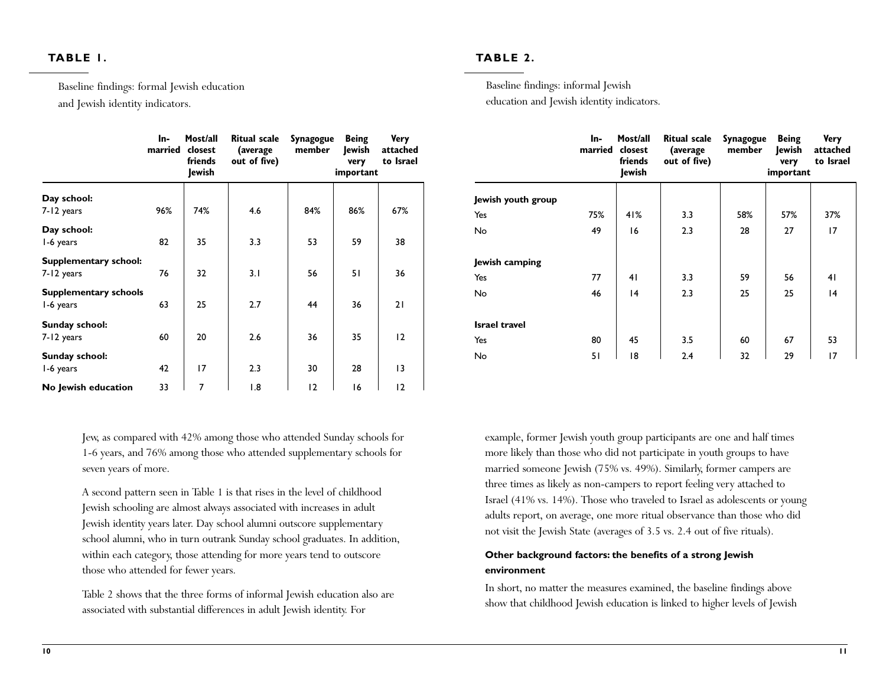# **TABLE 1.**

Baseline findings: formal Jewish education

and Jewish identity indicators.

|                                           | ln-<br>married | Most/all<br>closest<br>friends<br>lewish | <b>Ritual scale</b><br>(average<br>out of five) | Synagogue<br>member | <b>Being</b><br>lewish<br>very<br>important | <b>Very</b><br>attached<br>to Israel |
|-------------------------------------------|----------------|------------------------------------------|-------------------------------------------------|---------------------|---------------------------------------------|--------------------------------------|
| Day school:                               |                |                                          |                                                 |                     |                                             |                                      |
| 7-12 years                                | 96%            | 74%                                      | 4.6                                             | 84%                 | 86%                                         | 67%                                  |
| Day school:<br>1-6 years                  | 82             | 35                                       | 3.3                                             | 53                  | 59                                          | 38                                   |
| Supplementary school:<br>7-12 years       | 76             | 32                                       | 3.1                                             | 56                  | 51                                          | 36                                   |
| <b>Supplementary schools</b><br>1-6 years | 63             | 25                                       | 2.7                                             | 44                  | 36                                          | 21                                   |
| Sunday school:<br>7-12 years              | 60             | 20                                       | 2.6                                             | 36                  | 35                                          | 12                                   |
| Sunday school:<br>1-6 years               | 42             | 17                                       | 2.3                                             | 30                  | 28                                          | $\overline{13}$                      |
| No Jewish education                       | 33             | $\overline{7}$                           | 1.8                                             | 12                  | 16                                          | 12                                   |

Jew, as compared with 42% among those who attended Sunday schools for 1-6 years, and 76% among those who attended supplementary schools for seven years of more.

A second pattern seen in Table 1 is that rises in the level of childhood Jewish schooling are almost always associated with increases in adult Jewish identity years later. Day school alumni outscore supplementary school alumni, who in turn outrank Sunday school graduates. In addition, within each category, those attending for more years tend to outscore those who attended for fewer years.

Table 2 shows that the three forms of informal Jewish education also are associated with substantial differences in adult Jewish identity. For

# **TABLE 2.**

Baseline findings: informal Jewish education and Jewish identity indicators.

|                      | ln-<br>married | Most/all<br>closest<br>friends<br>Jewish | <b>Ritual scale</b><br>(average<br>out of five) | Synagogue<br>member | <b>Being</b><br>Jewish<br>very<br>important | <b>Very</b><br>attached<br>to Israel |
|----------------------|----------------|------------------------------------------|-------------------------------------------------|---------------------|---------------------------------------------|--------------------------------------|
| Jewish youth group   |                |                                          |                                                 |                     |                                             |                                      |
| Yes                  | 75%            | 41%                                      | 3.3                                             | 58%                 | 57%                                         | 37%                                  |
| No                   | 49             | 16                                       | 2.3                                             | 28                  | 27                                          | 17                                   |
| Jewish camping       |                |                                          |                                                 |                     |                                             |                                      |
| Yes                  | 77             | 41                                       | 3.3                                             | 59                  | 56                                          | 41                                   |
| No                   | 46             | 4                                        | 2.3                                             | 25                  | 25                                          | 14                                   |
| <b>Israel travel</b> |                |                                          |                                                 |                     |                                             |                                      |
| Yes                  | 80             | 45                                       | 3.5                                             | 60                  | 67                                          | 53                                   |
| No                   | 51             | 18                                       | 2.4                                             | 32                  | 29                                          | 17                                   |

example, former Jewish youth group participants are one and half times more likely than those who did not participate in youth groups to have married someone Jewish (75% vs. 49%). Similarly, former campers are three times as likely as non-campers to report feeling very attached to Israel (41% vs. 14%). Those who traveled to Israel as adolescents or young adults report, on average, one more ritual observance than those who did not visit the Jewish State (averages of 3.5 vs. 2.4 out of five rituals).

# **Other background factors: the benefits of a strong Jewish environment**

In short, no matter the measures examined, the baseline findings above show that childhood Jewish education is linked to higher levels of Jewish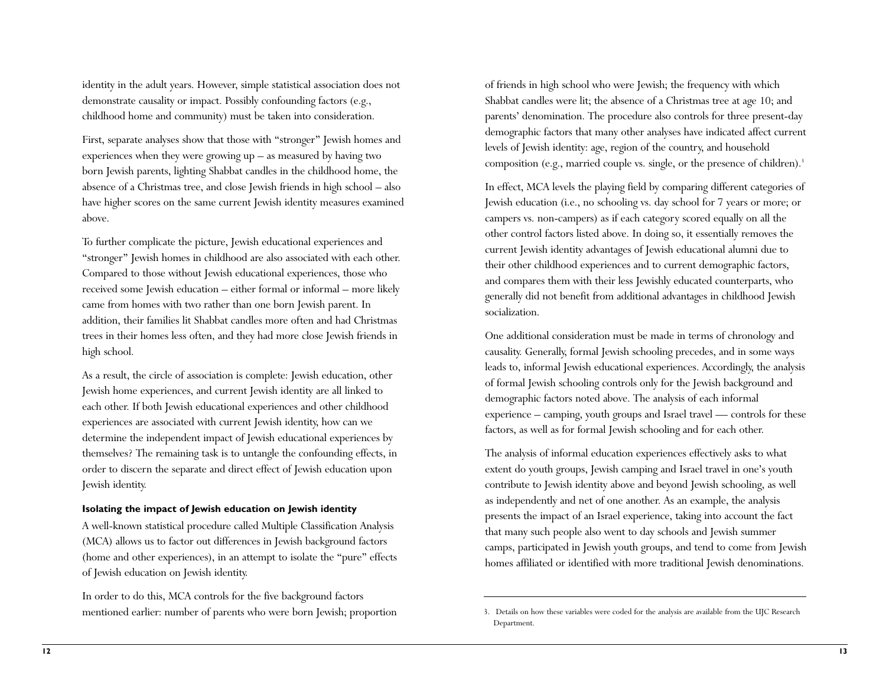identity in the adult years. However, simple statistical association does not demonstrate causality or impact. Possibly confounding factors (e.g., childhood home and community) must be taken into consideration.

First, separate analyses show that those with "stronger" Jewish homes and experiences when they were growing up – as measured by having two born Jewish parents, lighting Shabbat candles in the childhood home, the absence of a Christmas tree, and close Jewish friends in high school – also have higher scores on the same current Jewish identity measures examined above.

To further complicate the picture, Jewish educational experiences and "stronger" Jewish homes in childhood are also associated with each other. Compared to those without Jewish educational experiences, those who received some Jewish education – either formal or informal – more likely came from homes with two rather than one born Jewish parent. In addition, their families lit Shabbat candles more often and had Christmas trees in their homes less often, and they had more close Jewish friends in high school.

As a result, the circle of association is complete: Jewish education, other Jewish home experiences, and current Jewish identity are all linked to each other. If both Jewish educational experiences and other childhood experiences are associated with current Jewish identity, how can we determine the independent impact of Jewish educational experiences by themselves? The remaining task is to untangle the confounding effects, in order to discern the separate and direct effect of Jewish education upon Jewish identity.

### **Isolating the impact of Jewish education on Jewish identity**

A well-known statistical procedure called Multiple Classification Analysis (MCA) allows us to factor out differences in Jewish background factors (home and other experiences), in an attempt to isolate the "pure" effects of Jewish education on Jewish identity.

In order to do this, MCA controls for the five background factors mentioned earlier: number of parents who were born Jewish; proportion of friends in high school who were Jewish; the frequency with which Shabbat candles were lit; the absence of a Christmas tree at age 10; and parents' denomination. The procedure also controls for three present-day demographic factors that many other analyses have indicated affect current levels of Jewish identity: age, region of the country, and household composition (e.g., married couple vs. single, or the presence of children).<sup>3</sup>

In effect, MCA levels the playing field by comparing different categories of Jewish education (i.e., no schooling vs. day school for 7 years or more; or campers vs. non-campers) as if each category scored equally on all the other control factors listed above. In doing so, it essentially removes the current Jewish identity advantages of Jewish educational alumni due to their other childhood experiences and to current demographic factors, and compares them with their less Jewishly educated counterparts, who generally did not benefit from additional advantages in childhood Jewish socialization.

One additional consideration must be made in terms of chronology and causality. Generally, formal Jewish schooling precedes, and in some ways leads to, informal Jewish educational experiences. Accordingly, the analysis of formal Jewish schooling controls only for the Jewish background and demographic factors noted above. The analysis of each informal experience – camping, youth groups and Israel travel — controls for these factors, as well as for formal Jewish schooling and for each other.

The analysis of informal education experiences effectively asks to what extent do youth groups, Jewish camping and Israel travel in one's youth contribute to Jewish identity above and beyond Jewish schooling, as well as independently and net of one another. As an example, the analysis presents the impact of an Israel experience, taking into account the fact that many such people also went to day schools and Jewish summer camps, participated in Jewish youth groups, and tend to come from Jewish homes affiliated or identified with more traditional Jewish denominations.

<sup>3.</sup> Details on how these variables were coded for the analysis are available from the UJC Research Department.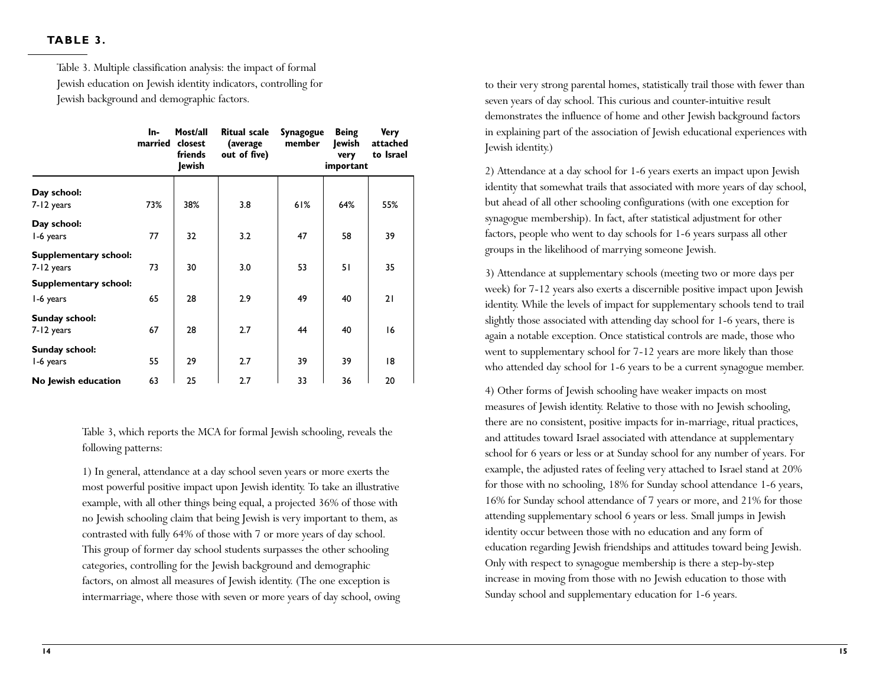# **TABLE 3.**

Table 3. Multiple classification analysis: the impact of formal Jewish education on Jewish identity indicators, controlling for Jewish background and demographic factors.

|                                     | In-<br>married | Most/all<br>closest<br>friends<br>Jewish | <b>Ritual scale</b><br>(average<br>out of five) | Synagogue<br>member | <b>Being</b><br>lewish<br>very<br>important | <b>Very</b><br>attached<br>to Israel |
|-------------------------------------|----------------|------------------------------------------|-------------------------------------------------|---------------------|---------------------------------------------|--------------------------------------|
| Day school:                         |                |                                          |                                                 |                     |                                             |                                      |
| 7-12 years                          | 73%            | 38%                                      | 3.8                                             | 61%                 | 64%                                         | 55%                                  |
| Day school:<br>1-6 years            | 77             | 32                                       | 3.2                                             | 47                  | 58                                          | 39                                   |
| Supplementary school:<br>7-12 years | 73             | 30                                       | 3.0                                             | 53                  | 51                                          | 35                                   |
| Supplementary school:               |                |                                          |                                                 |                     |                                             |                                      |
| 1-6 years                           | 65             | 28                                       | 2.9                                             | 49                  | 40                                          | 21                                   |
| Sunday school:<br>7-12 years        | 67             | 28                                       | 2.7                                             | 44                  | 40                                          | 16                                   |
| Sunday school:<br>1-6 years         | 55             | 29                                       | 2.7                                             | 39                  | 39                                          | 18                                   |
| No Jewish education                 | 63             | 25                                       | 2.7                                             | 33                  | 36                                          | 20                                   |

Table 3, which reports the MCA for formal Jewish schooling, reveals the following patterns:

1) In general, attendance at a day school seven years or more exerts the most powerful positive impact upon Jewish identity. To take an illustrative example, with all other things being equal, a projected 36% of those with no Jewish schooling claim that being Jewish is very important to them, as contrasted with fully 64% of those with 7 or more years of day school. This group of former day school students surpasses the other schooling categories, controlling for the Jewish background and demographic factors, on almost all measures of Jewish identity. (The one exception is intermarriage, where those with seven or more years of day school, owing to their very strong parental homes, statistically trail those with fewer than seven years of day school. This curious and counter-intuitive result demonstrates the influence of home and other Jewish background factors in explaining part of the association of Jewish educational experiences with Jewish identity.)

2) Attendance at a day school for 1-6 years exerts an impact upon Jewish identity that somewhat trails that associated with more years of day school, but ahead of all other schooling configurations (with one exception for synagogue membership). In fact, after statistical adjustment for other factors, people who went to day schools for 1-6 years surpass all other groups in the likelihood of marrying someone Jewish.

3) Attendance at supplementary schools (meeting two or more days per week) for 7-12 years also exerts a discernible positive impact upon Jewish identity. While the levels of impact for supplementary schools tend to trail slightly those associated with attending day school for 1-6 years, there is again a notable exception. Once statistical controls are made, those who went to supplementary school for 7-12 years are more likely than those who attended day school for 1-6 years to be a current synagogue member.

4) Other forms of Jewish schooling have weaker impacts on most measures of Jewish identity. Relative to those with no Jewish schooling, there are no consistent, positive impacts for in-marriage, ritual practices, and attitudes toward Israel associated with attendance at supplementary school for 6 years or less or at Sunday school for any number of years. For example, the adjusted rates of feeling very attached to Israel stand at 20% for those with no schooling, 18% for Sunday school attendance 1-6 years, 16% for Sunday school attendance of 7 years or more, and 21% for those attending supplementary school 6 years or less. Small jumps in Jewish identity occur between those with no education and any form of education regarding Jewish friendships and attitudes toward being Jewish. Only with respect to synagogue membership is there a step-by-step increase in moving from those with no Jewish education to those with Sunday school and supplementary education for 1-6 years.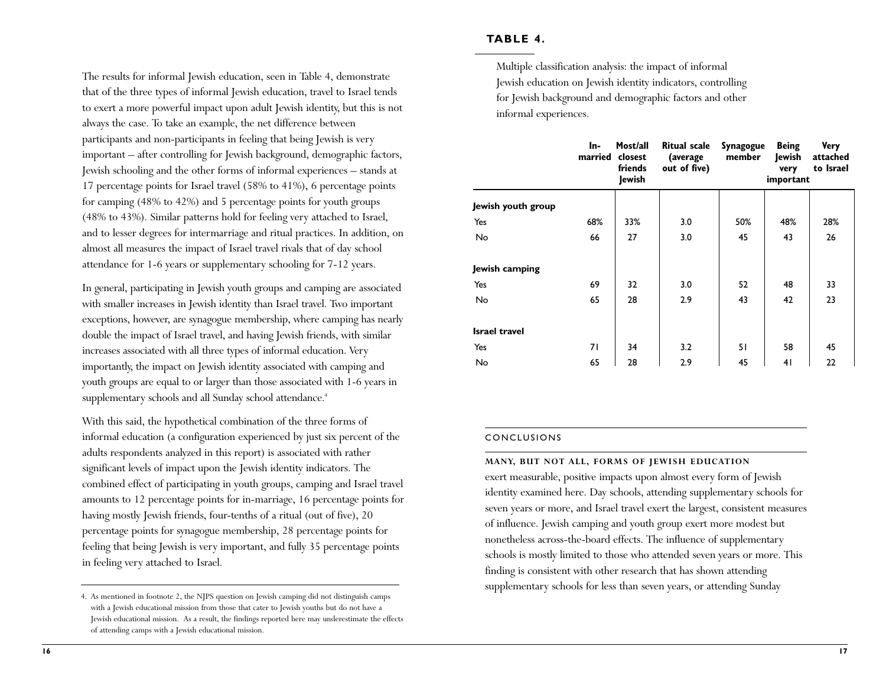## **TABLE 4.**

Multiple classification analysis: the impact of informal Jewish education on Jewish identity indicators, controlling for Jewish background and demographic factors and other informal experiences.

|                      | In-<br>married | Most/all<br>closest<br>friends<br>Jewish | Ritual scale<br>(average<br>out of five) | Synagogue<br>member | <b>Being</b><br>Jewish<br>very<br>important | <b>Very</b><br>attached<br>to Israel |
|----------------------|----------------|------------------------------------------|------------------------------------------|---------------------|---------------------------------------------|--------------------------------------|
| Jewish youth group   |                |                                          |                                          |                     |                                             |                                      |
| Yes                  | 68%            | 33%                                      | 3.0                                      | 50%                 | 48%                                         | 28%                                  |
| No                   | 66             | 27                                       | 3.0                                      | 45                  | 43                                          | 26                                   |
| Jewish camping       |                |                                          |                                          |                     |                                             |                                      |
| Yes                  | 69             | 32                                       | 3.0                                      | 52                  | 48                                          | 33                                   |
| No                   | 65             | 28                                       | 2.9                                      | 43                  | 42                                          | 23                                   |
| <b>Israel travel</b> |                |                                          |                                          |                     |                                             |                                      |
| Yes                  | 71             | 34                                       | 3.2                                      | 51                  | 58                                          | 45                                   |
| No                   | 65             | 28                                       | 2.9                                      | 45                  | 41                                          | 22                                   |

#### CONCLUSIONS

**MANY, BUT NOT ALL, FORMS OF JEWISH EDUCATION** 

exert measurable, positive impacts upon almost every form of Jewish identity examined here. Day schools, attending supplementary schools for seven years or more, and Israel travel exert the largest, consistent measures of influence. Jewish camping and youth group exert more modest but nonetheless across-the-board effects. The influence of supplementary schools is mostly limited to those who attended seven years or more. This finding is consistent with other research that has shown attending supplementary schools for less than seven years, or attending Sunday

The results for informal Jewish education, seen in Table 4, demonstrate that of the three types of informal Jewish education, travel to Israel tends to exert a more powerful impact upon adult Jewish identity, but this is not always the case. To take an example, the net difference between participants and non-participants in feeling that being Jewish is very important – after controlling for Jewish background, demographic factors, Jewish schooling and the other forms of informal experiences – stands at 17 percentage points for Israel travel (58% to 41%), 6 percentage points for camping (48% to 42%) and 5 percentage points for youth groups (48% to 43%). Similar patterns hold for feeling very attached to Israel, and to lesser degrees for intermarriage and ritual practices. In addition, on almost all measures the impact of Israel travel rivals that of day school attendance for 1-6 years or supplementary schooling for 7-12 years.

In general, participating in Jewish youth groups and camping are associated with smaller increases in Jewish identity than Israel travel. Two important exceptions, however, are synagogue membership, where camping has nearly double the impact of Israel travel, and having Jewish friends, with similar increases associated with all three types of informal education. Very importantly, the impact on Jewish identity associated with camping and youth groups are equal to or larger than those associated with 1-6 years in supplementary schools and all Sunday school attendance.<sup>4</sup>

With this said, the hypothetical combination of the three forms of informal education (a configuration experienced by just six percent of the adults respondents analyzed in this report) is associated with rather significant levels of impact upon the Jewish identity indicators. The combined effect of participating in youth groups, camping and Israel travel amounts to 12 percentage points for in-marriage, 16 percentage points for having mostly Jewish friends, four-tenths of a ritual (out of five), 20 percentage points for synagogue membership, 28 percentage points for feeling that being Jewish is very important, and fully 35 percentage points in feeling very attached to Israel.

<sup>4.</sup> As mentioned in footnote 2, the NJPS question on Jewish camping did not distinguish camps with a Jewish educational mission from those that cater to Jewish youths but do not have a Jewish educational mission. As a result, the findings reported here may underestimate the effects of attending camps with a Jewish educational mission.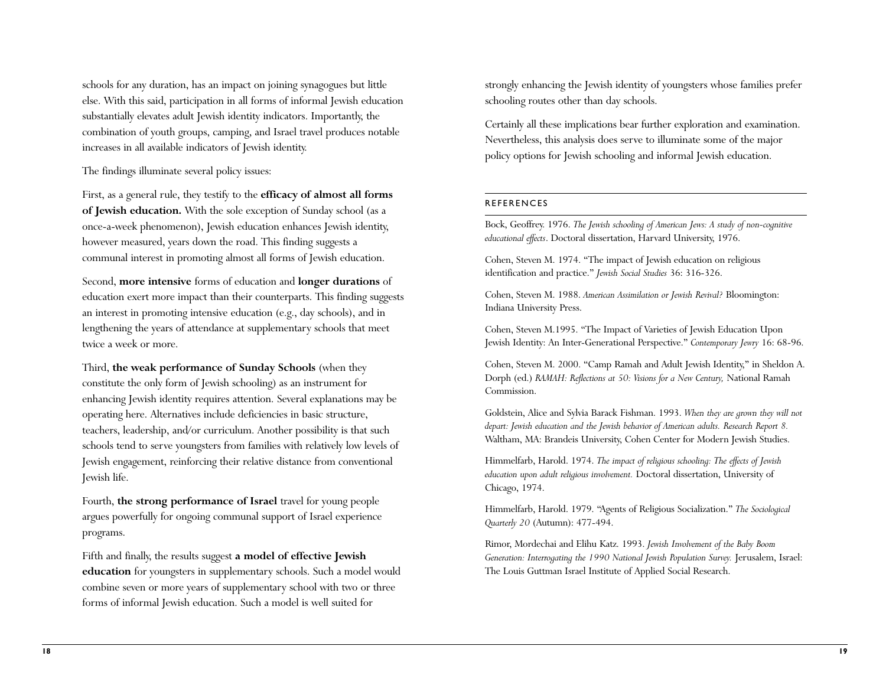schools for any duration, has an impact on joining synagogues but little else. With this said, participation in all forms of informal Jewish education substantially elevates adult Jewish identity indicators. Importantly, the combination of youth groups, camping, and Israel travel produces notable increases in all available indicators of Jewish identity.

The findings illuminate several policy issues:

First, as a general rule, they testify to the **efficacy of almost all forms of Jewish education.** With the sole exception of Sunday school (as a once-a-week phenomenon), Jewish education enhances Jewish identity, however measured, years down the road. This finding suggests a communal interest in promoting almost all forms of Jewish education.

Second, **more intensive** forms of education and **longer durations** of education exert more impact than their counterparts. This finding suggests an interest in promoting intensive education (e.g., day schools), and in lengthening the years of attendance at supplementary schools that meet twice a week or more.

Third, **the weak performance of Sunday Schools** (when they constitute the only form of Jewish schooling) as an instrument for enhancing Jewish identity requires attention. Several explanations may be operating here. Alternatives include deficiencies in basic structure, teachers, leadership, and/or curriculum. Another possibility is that such schools tend to serve youngsters from families with relatively low levels of Jewish engagement, reinforcing their relative distance from conventional Jewish life.

Fourth, the strong performance of Israel travel for young people argues powerfully for ongoing communal support of Israel experience programs.

Fifth and finally, the results suggest **a model of effective Jewish education** for youngsters in supplementary schools. Such a model would combine seven or more years of supplementary school with two or three forms of informal Jewish education. Such a model is well suited for

strongly enhancing the Jewish identity of youngsters whose families prefer schooling routes other than day schools.

Certainly all these implications bear further exploration and examination. Nevertheless, this analysis does serve to illuminate some of the major policy options for Jewish schooling and informal Jewish education.

## REFERENCES

Bock, Geoffrey. 1976. *The Jewish schooling of American Jews: A study of non-cognitive educational effects*. Doctoral dissertation, Harvard University, 1976.

Cohen, Steven M. 1974. "The impact of Jewish education on religious identification and practice." *Jewish Social Studies* 36: 316-326.

Cohen, Steven M. 1988. *American Assimilation or Jewish Revival?* Bloomington: Indiana University Press.

Cohen, Steven M.1995. "The Impact of Varieties of Jewish Education Upon Jewish Identity: An Inter-Generational Perspective." *Contemporary Jewry* 16: 68-96.

Cohen, Steven M. 2000. "Camp Ramah and Adult Jewish Identity," in Sheldon A. Dorph (ed.) *RAMAH: Reflections at 50: Visions for a New Century,* National Ramah Commission.

Goldstein, Alice and Sylvia Barack Fishman. 1993. *When they are grown they will not depart: Jewish education and the Jewish behavior of American adults. Research Report 8.* Waltham, MA: Brandeis University, Cohen Center for Modern Jewish Studies.

Himmelfarb, Harold. 1974. *The impact of religious schooling: The effects of Jewish education upon adult religious involvement.* Doctoral dissertation, University of Chicago, 1974.

Himmelfarb, Harold. 1979. "Agents of Religious Socialization." *The Sociological Quarterly 20* (Autumn): 477-494.

Rimor, Mordechai and Elihu Katz. 1993. *Jewish Involvement of the Baby Boom Generation: Interrogating the 1990 National Jewish Population Survey.* Jerusalem, Israel: The Louis Guttman Israel Institute of Applied Social Research.